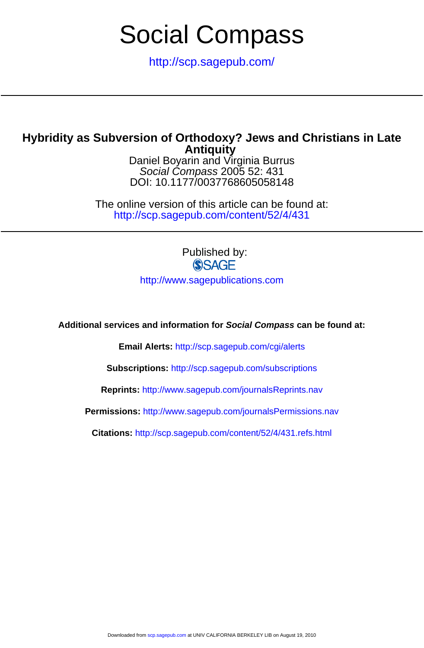# Social Compass

<http://scp.sagepub.com/>

### **Antiquity Hybridity as Subversion of Orthodoxy? Jews and Christians in Late**

DOI: 10.1177/0037768605058148 Social Compass 2005 52: 431 Daniel Boyarin and Virginia Burrus

<http://scp.sagepub.com/content/52/4/431> The online version of this article can be found at:

> Published by: **SSAGF** <http://www.sagepublications.com>

**Additional services and information for Social Compass can be found at:**

**Email Alerts:** <http://scp.sagepub.com/cgi/alerts>

**Subscriptions:** <http://scp.sagepub.com/subscriptions>

**Reprints:** <http://www.sagepub.com/journalsReprints.nav>

**Permissions:** <http://www.sagepub.com/journalsPermissions.nav>

**Citations:** <http://scp.sagepub.com/content/52/4/431.refs.html>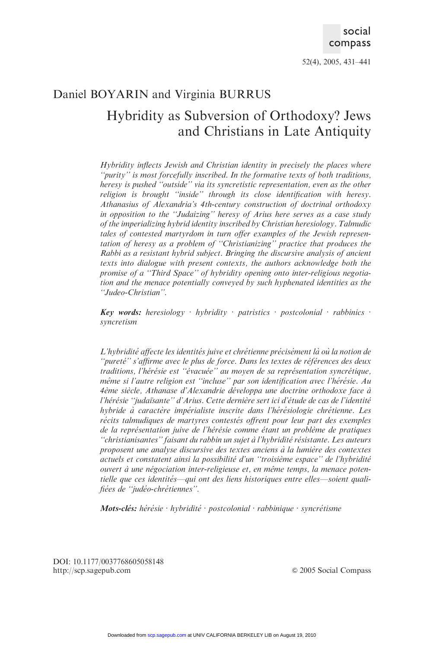## Daniel BOYARIN and Virginia BURRUS Hybridity as Subversion of Orthodoxy? Jews and Christians in Late Antiquity

Hybridity inflects Jewish and Christian identity in precisely the places where ''purity'' is most forcefully inscribed. In the formative texts of both traditions, heresy is pushed ''outside'' via its syncretistic representation, even as the other religion is brought ''inside'' through its close identification with heresy. Athanasius of Alexandria's 4th-century construction of doctrinal orthodoxy in opposition to the ''Judaizing'' heresy of Arius here serves as a case study of the imperializing hybrid identity inscribed by Christian heresiology. Talmudic tales of contested martyrdom in turn offer examples of the Jewish representation of heresy as a problem of ''Christianizing'' practice that produces the Rabbi as a resistant hybrid subject. Bringing the discursive analysis of ancient texts into dialogue with present contexts, the authors acknowledge both the promise of a ''Third Space'' of hybridity opening onto inter-religious negotiation and the menace potentially conveyed by such hyphenated identities as the ''Judeo-Christian''.

**Key words:** heresiology  $\cdot$  hybridity  $\cdot$  patristics  $\cdot$  postcolonial  $\cdot$  rabbinics  $\cdot$ syncretism

L'hybridité affecte les identités juive et chrétienne précisément là où la notion de "pureté" s'affirme avec le plus de force. Dans les textes de références des deux traditions, l'hérésie est "évacuée" au moyen de sa représentation syncrétique, même si l'autre religion est "incluse" par son identification avec l'hérésie. Au 4ème siècle, Athanase d'Alexandrie développa une doctrine orthodoxe face à l'hérésie "judaïsante" d'Arius. Cette dernière sert ici d'étude de cas de l'identité hybride à caractère impérialiste inscrite dans l'hérésiologie chrétienne. Les récits talmudiques de martyres contestés offrent pour leur part des exemples de la représentation juive de l'hérésie comme étant un problème de pratiques "christianisantes" faisant du rabbin un sujet à l'hybridité résistante. Les auteurs proposent une analyse discursive des textes anciens à la lumière des contextes actuels et constatent ainsi la possibilité d'un "troisième espace" de l'hybridité ouvert à une négociation inter-religieuse et, en même temps, la menace potentielle que ces identités—qui ont des liens historiques entre elles—soient qualifiées de "judéo-chrétiennes".

Mots-clés: hérésie · hybridité · postcolonial · rabbinique · syncrétisme

DOI: 10.1177/0037768605058148 http://scp.sagepub.com *&* 2005 Social Compass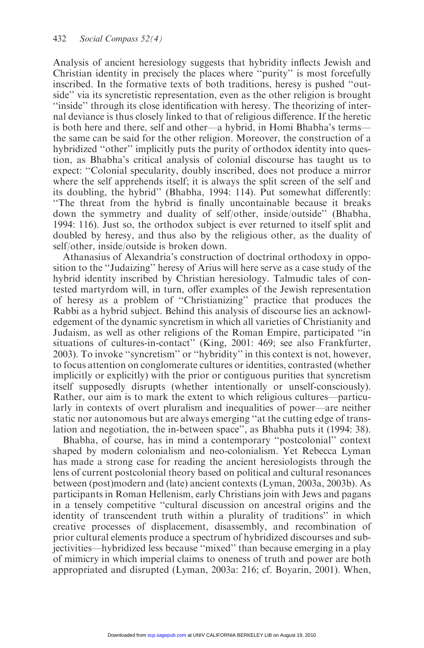Analysis of ancient heresiology suggests that hybridity inflects Jewish and Christian identity in precisely the places where ''purity'' is most forcefully inscribed. In the formative texts of both traditions, heresy is pushed ''outside'' via its syncretistic representation, even as the other religion is brought ''inside'' through its close identification with heresy. The theorizing of internal deviance is thus closely linked to that of religious difference. If the heretic is both here and there, self and other—a hybrid, in Homi Bhabha's terms the same can be said for the other religion. Moreover, the construction of a hybridized ''other'' implicitly puts the purity of orthodox identity into question, as Bhabha's critical analysis of colonial discourse has taught us to expect: ''Colonial specularity, doubly inscribed, does not produce a mirror where the self apprehends itself; it is always the split screen of the self and its doubling, the hybrid'' (Bhabha, 1994: 114). Put somewhat differently: ''The threat from the hybrid is finally uncontainable because it breaks down the symmetry and duality of self/other, inside/outside'' (Bhabha, 1994: 116). Just so, the orthodox subject is ever returned to itself split and doubled by heresy, and thus also by the religious other, as the duality of self/other, inside/outside is broken down.

Athanasius of Alexandria's construction of doctrinal orthodoxy in opposition to the ''Judaizing'' heresy of Arius will here serve as a case study of the hybrid identity inscribed by Christian heresiology. Talmudic tales of contested martyrdom will, in turn, offer examples of the Jewish representation of heresy as a problem of ''Christianizing'' practice that produces the Rabbi as a hybrid subject. Behind this analysis of discourse lies an acknowledgement of the dynamic syncretism in which all varieties of Christianity and Judaism, as well as other religions of the Roman Empire, participated ''in situations of cultures-in-contact'' (King, 2001: 469; see also Frankfurter, 2003). To invoke ''syncretism'' or ''hybridity'' in this context is not, however, to focus attention on conglomerate cultures or identities, contrasted (whether implicitly or explicitly) with the prior or contiguous purities that syncretism itself supposedly disrupts (whether intentionally or unself-consciously). Rather, our aim is to mark the extent to which religious cultures—particularly in contexts of overt pluralism and inequalities of power—are neither static nor autonomous but are always emerging ''at the cutting edge of translation and negotiation, the in-between space'', as Bhabha puts it (1994: 38).

Bhabha, of course, has in mind a contemporary ''postcolonial'' context shaped by modern colonialism and neo-colonialism. Yet Rebecca Lyman has made a strong case for reading the ancient heresiologists through the lens of current postcolonial theory based on political and cultural resonances between (post)modern and (late) ancient contexts (Lyman, 2003a, 2003b). As participants in Roman Hellenism, early Christians join with Jews and pagans in a tensely competitive ''cultural discussion on ancestral origins and the identity of transcendent truth within a plurality of traditions'' in which creative processes of displacement, disassembly, and recombination of prior cultural elements produce a spectrum of hybridized discourses and subjectivities—hybridized less because ''mixed'' than because emerging in a play of mimicry in which imperial claims to oneness of truth and power are both appropriated and disrupted (Lyman, 2003a: 216; cf. Boyarin, 2001). When,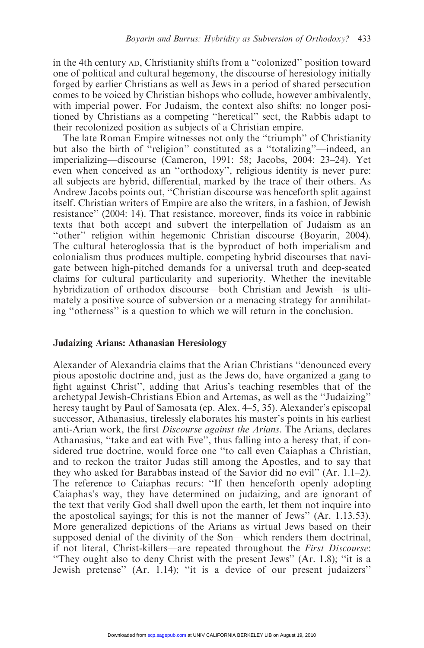in the 4th century AD, Christianity shifts from a ''colonized'' position toward one of political and cultural hegemony, the discourse of heresiology initially forged by earlier Christians as well as Jews in a period of shared persecution comes to be voiced by Christian bishops who collude, however ambivalently, with imperial power. For Judaism, the context also shifts: no longer positioned by Christians as a competing ''heretical'' sect, the Rabbis adapt to their recolonized position as subjects of a Christian empire.

The late Roman Empire witnesses not only the ''triumph'' of Christianity but also the birth of ''religion'' constituted as a ''totalizing''—indeed, an imperializing—discourse (Cameron, 1991: 58; Jacobs, 2004: 23–24). Yet even when conceived as an ''orthodoxy'', religious identity is never pure: all subjects are hybrid, differential, marked by the trace of their others. As Andrew Jacobs points out, ''Christian discourse was henceforth split against itself. Christian writers of Empire are also the writers, in a fashion, of Jewish resistance'' (2004: 14). That resistance, moreover, finds its voice in rabbinic texts that both accept and subvert the interpellation of Judaism as an ''other'' religion within hegemonic Christian discourse (Boyarin, 2004). The cultural heteroglossia that is the byproduct of both imperialism and colonialism thus produces multiple, competing hybrid discourses that navigate between high-pitched demands for a universal truth and deep-seated claims for cultural particularity and superiority. Whether the inevitable hybridization of orthodox discourse—both Christian and Jewish—is ultimately a positive source of subversion or a menacing strategy for annihilating ''otherness'' is a question to which we will return in the conclusion.

#### Judaizing Arians: Athanasian Heresiology

Alexander of Alexandria claims that the Arian Christians ''denounced every pious apostolic doctrine and, just as the Jews do, have organized a gang to fight against Christ'', adding that Arius's teaching resembles that of the archetypal Jewish-Christians Ebion and Artemas, as well as the ''Judaizing'' heresy taught by Paul of Samosata (ep. Alex. 4–5, 35). Alexander's episcopal successor, Athanasius, tirelessly elaborates his master's points in his earliest anti-Arian work, the first Discourse against the Arians. The Arians, declares Athanasius, ''take and eat with Eve'', thus falling into a heresy that, if considered true doctrine, would force one ''to call even Caiaphas a Christian, and to reckon the traitor Judas still among the Apostles, and to say that they who asked for Barabbas instead of the Savior did no evil'' (Ar. 1.1–2). The reference to Caiaphas recurs: ''If then henceforth openly adopting Caiaphas's way, they have determined on judaizing, and are ignorant of the text that verily God shall dwell upon the earth, let them not inquire into the apostolical sayings; for this is not the manner of Jews'' (Ar. 1.13.53). More generalized depictions of the Arians as virtual Jews based on their supposed denial of the divinity of the Son—which renders them doctrinal, if not literal, Christ-killers—are repeated throughout the First Discourse: ''They ought also to deny Christ with the present Jews'' (Ar. 1.8); ''it is a Jewish pretense" (Ar. 1.14); "it is a device of our present judaizers"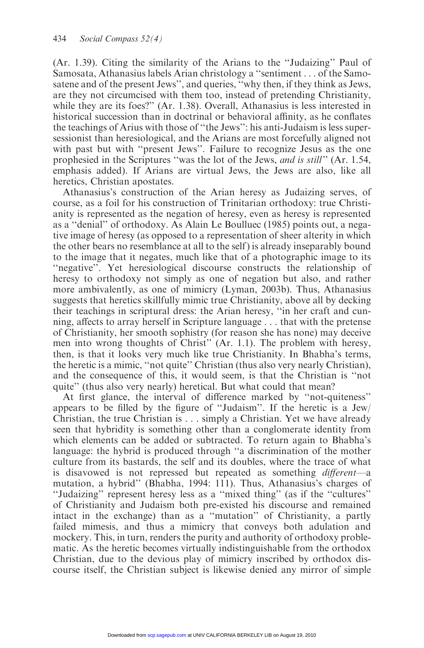(Ar. 1.39). Citing the similarity of the Arians to the ''Judaizing'' Paul of Samosata, Athanasius labels Arian christology a ''sentiment . . . of the Samosatene and of the present Jews'', and queries, ''why then, if they think as Jews, are they not circumcised with them too, instead of pretending Christianity, while they are its foes?" (Ar. 1.38). Overall, Athanasius is less interested in historical succession than in doctrinal or behavioral affinity, as he conflates the teachings of Arius with those of ''the Jews'': his anti-Judaism is less supersessionist than heresiological, and the Arians are most forcefully aligned not with past but with "present Jews". Failure to recognize Jesus as the one prophesied in the Scriptures ''was the lot of the Jews, and is still'' (Ar. 1.54, emphasis added). If Arians are virtual Jews, the Jews are also, like all heretics, Christian apostates.

Athanasius's construction of the Arian heresy as Judaizing serves, of course, as a foil for his construction of Trinitarian orthodoxy: true Christianity is represented as the negation of heresy, even as heresy is represented as a ''denial'' of orthodoxy. As Alain Le Boulluec (1985) points out, a negative image of heresy (as opposed to a representation of sheer alterity in which the other bears no resemblance at all to the self ) is already inseparably bound to the image that it negates, much like that of a photographic image to its "negative". Yet heresiological discourse constructs the relationship of heresy to orthodoxy not simply as one of negation but also, and rather more ambivalently, as one of mimicry (Lyman, 2003b). Thus, Athanasius suggests that heretics skillfully mimic true Christianity, above all by decking their teachings in scriptural dress: the Arian heresy, ''in her craft and cunning, affects to array herself in Scripture language . . . that with the pretense of Christianity, her smooth sophistry (for reason she has none) may deceive men into wrong thoughts of Christ'' (Ar. 1.1). The problem with heresy, then, is that it looks very much like true Christianity. In Bhabha's terms, the heretic is a mimic, ''not quite'' Christian (thus also very nearly Christian), and the consequence of this, it would seem, is that the Christian is ''not quite'' (thus also very nearly) heretical. But what could that mean?

At first glance, the interval of difference marked by ''not-quiteness'' appears to be filled by the figure of ''Judaism''. If the heretic is a Jew/ Christian, the true Christian is . . . simply a Christian. Yet we have already seen that hybridity is something other than a conglomerate identity from which elements can be added or subtracted. To return again to Bhabha's language: the hybrid is produced through ''a discrimination of the mother culture from its bastards, the self and its doubles, where the trace of what is disavowed is not repressed but repeated as something different—a mutation, a hybrid'' (Bhabha, 1994: 111). Thus, Athanasius's charges of ''Judaizing'' represent heresy less as a ''mixed thing'' (as if the ''cultures'' of Christianity and Judaism both pre-existed his discourse and remained intact in the exchange) than as a ''mutation'' of Christianity, a partly failed mimesis, and thus a mimicry that conveys both adulation and mockery. This, in turn, renders the purity and authority of orthodoxy problematic. As the heretic becomes virtually indistinguishable from the orthodox Christian, due to the devious play of mimicry inscribed by orthodox discourse itself, the Christian subject is likewise denied any mirror of simple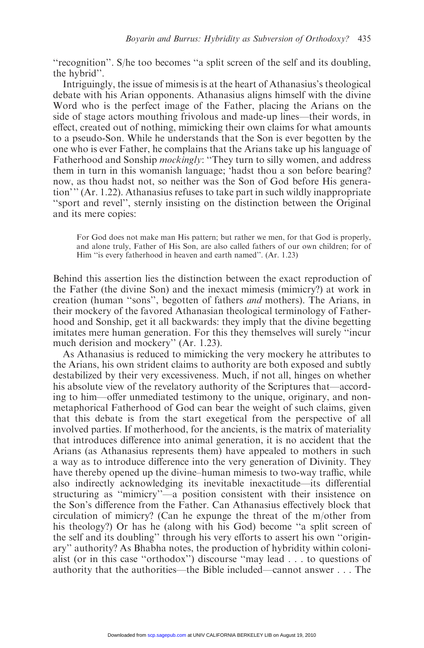''recognition''. S/he too becomes ''a split screen of the self and its doubling, the hybrid''.

Intriguingly, the issue of mimesis is at the heart of Athanasius's theological debate with his Arian opponents. Athanasius aligns himself with the divine Word who is the perfect image of the Father, placing the Arians on the side of stage actors mouthing frivolous and made-up lines—their words, in effect, created out of nothing, mimicking their own claims for what amounts to a pseudo-Son. While he understands that the Son is ever begotten by the one who is ever Father, he complains that the Arians take up his language of Fatherhood and Sonship *mockingly*: "They turn to silly women, and address them in turn in this womanish language; 'hadst thou a son before bearing? now, as thou hadst not, so neither was the Son of God before His generation''' (Ar. 1.22). Athanasius refuses to take part in such wildly inappropriate ''sport and revel'', sternly insisting on the distinction between the Original and its mere copies:

For God does not make man His pattern; but rather we men, for that God is properly, and alone truly, Father of His Son, are also called fathers of our own children; for of Him ''is every fatherhood in heaven and earth named''. (Ar. 1.23)

Behind this assertion lies the distinction between the exact reproduction of the Father (the divine Son) and the inexact mimesis (mimicry?) at work in creation (human ''sons'', begotten of fathers and mothers). The Arians, in their mockery of the favored Athanasian theological terminology of Fatherhood and Sonship, get it all backwards: they imply that the divine begetting imitates mere human generation. For this they themselves will surely ''incur much derision and mockery'' (Ar. 1.23).

As Athanasius is reduced to mimicking the very mockery he attributes to the Arians, his own strident claims to authority are both exposed and subtly destabilized by their very excessiveness. Much, if not all, hinges on whether his absolute view of the revelatory authority of the Scriptures that—according to him—offer unmediated testimony to the unique, originary, and nonmetaphorical Fatherhood of God can bear the weight of such claims, given that this debate is from the start exegetical from the perspective of all involved parties. If motherhood, for the ancients, is the matrix of materiality that introduces difference into animal generation, it is no accident that the Arians (as Athanasius represents them) have appealed to mothers in such a way as to introduce difference into the very generation of Divinity. They have thereby opened up the divine–human mimesis to two-way traffic, while also indirectly acknowledging its inevitable inexactitude—its differential structuring as ''mimicry''—a position consistent with their insistence on the Son's difference from the Father. Can Athanasius effectively block that circulation of mimicry? (Can he expunge the threat of the m/other from his theology?) Or has he (along with his God) become ''a split screen of the self and its doubling'' through his very efforts to assert his own ''originary'' authority? As Bhabha notes, the production of hybridity within colonialist (or in this case ''orthodox'') discourse ''may lead . . . to questions of authority that the authorities—the Bible included—cannot answer . . . The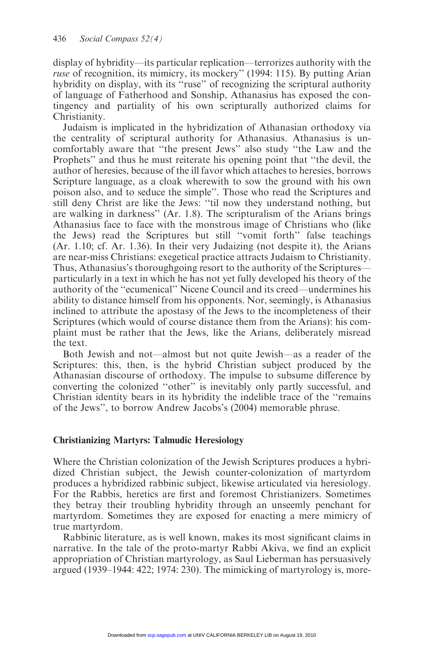display of hybridity—its particular replication—terrorizes authority with the ruse of recognition, its mimicry, its mockery'' (1994: 115). By putting Arian hybridity on display, with its ''ruse'' of recognizing the scriptural authority of language of Fatherhood and Sonship, Athanasius has exposed the contingency and partiality of his own scripturally authorized claims for Christianity.

Judaism is implicated in the hybridization of Athanasian orthodoxy via the centrality of scriptural authority for Athanasius. Athanasius is uncomfortably aware that ''the present Jews'' also study ''the Law and the Prophets'' and thus he must reiterate his opening point that ''the devil, the author of heresies, because of the ill favor which attaches to heresies, borrows Scripture language, as a cloak wherewith to sow the ground with his own poison also, and to seduce the simple''. Those who read the Scriptures and still deny Christ are like the Jews: ''til now they understand nothing, but are walking in darkness'' (Ar. 1.8). The scripturalism of the Arians brings Athanasius face to face with the monstrous image of Christians who (like the Jews) read the Scriptures but still ''vomit forth'' false teachings (Ar. 1.10; cf. Ar. 1.36). In their very Judaizing (not despite it), the Arians are near-miss Christians: exegetical practice attracts Judaism to Christianity. Thus, Athanasius's thoroughgoing resort to the authority of the Scriptures particularly in a text in which he has not yet fully developed his theory of the authority of the ''ecumenical'' Nicene Council and its creed—undermines his ability to distance himself from his opponents. Nor, seemingly, is Athanasius inclined to attribute the apostasy of the Jews to the incompleteness of their Scriptures (which would of course distance them from the Arians): his complaint must be rather that the Jews, like the Arians, deliberately misread the text.

Both Jewish and not—almost but not quite Jewish—as a reader of the Scriptures: this, then, is the hybrid Christian subject produced by the Athanasian discourse of orthodoxy. The impulse to subsume difference by converting the colonized ''other'' is inevitably only partly successful, and Christian identity bears in its hybridity the indelible trace of the ''remains of the Jews'', to borrow Andrew Jacobs's (2004) memorable phrase.

#### Christianizing Martyrs: Talmudic Heresiology

Where the Christian colonization of the Jewish Scriptures produces a hybridized Christian subject, the Jewish counter-colonization of martyrdom produces a hybridized rabbinic subject, likewise articulated via heresiology. For the Rabbis, heretics are first and foremost Christianizers. Sometimes they betray their troubling hybridity through an unseemly penchant for martyrdom. Sometimes they are exposed for enacting a mere mimicry of true martyrdom.

Rabbinic literature, as is well known, makes its most significant claims in narrative. In the tale of the proto-martyr Rabbi Akiva, we find an explicit appropriation of Christian martyrology, as Saul Lieberman has persuasively argued (1939–1944: 422; 1974: 230). The mimicking of martyrology is, more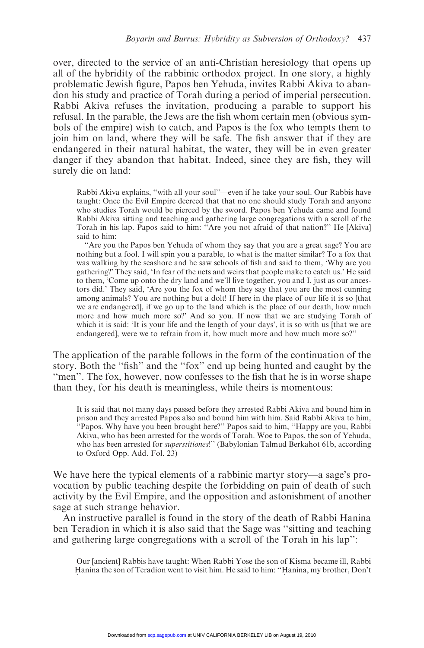over, directed to the service of an anti-Christian heresiology that opens up all of the hybridity of the rabbinic orthodox project. In one story, a highly problematic Jewish figure, Papos ben Yehuda, invites Rabbi Akiva to abandon his study and practice of Torah during a period of imperial persecution. Rabbi Akiva refuses the invitation, producing a parable to support his refusal. In the parable, the Jews are the fish whom certain men (obvious symbols of the empire) wish to catch, and Papos is the fox who tempts them to join him on land, where they will be safe. The fish answer that if they are endangered in their natural habitat, the water, they will be in even greater danger if they abandon that habitat. Indeed, since they are fish, they will surely die on land:

Rabbi Akiva explains, ''with all your soul''—even if he take your soul. Our Rabbis have taught: Once the Evil Empire decreed that that no one should study Torah and anyone who studies Torah would be pierced by the sword. Papos ben Yehuda came and found Rabbi Akiva sitting and teaching and gathering large congregations with a scroll of the Torah in his lap. Papos said to him: ''Are you not afraid of that nation?'' He [Akiva] said to him:

''Are you the Papos ben Yehuda of whom they say that you are a great sage? You are nothing but a fool. I will spin you a parable, to what is the matter similar? To a fox that was walking by the seashore and he saw schools of fish and said to them, 'Why are you gathering?' They said, 'In fear of the nets and weirs that people make to catch us.' He said to them, 'Come up onto the dry land and we'll live together, you and I, just as our ancestors did.' They said, 'Are you the fox of whom they say that you are the most cunning among animals? You are nothing but a dolt! If here in the place of our life it is so [that we are endangered], if we go up to the land which is the place of our death, how much more and how much more so?' And so you. If now that we are studying Torah of which it is said: 'It is your life and the length of your days', it is so with us [that we are endangered], were we to refrain from it, how much more and how much more so?''

The application of the parable follows in the form of the continuation of the story. Both the ''fish'' and the ''fox'' end up being hunted and caught by the ''men''. The fox, however, now confesses to the fish that he is in worse shape than they, for his death is meaningless, while theirs is momentous:

It is said that not many days passed before they arrested Rabbi Akiva and bound him in prison and they arrested Papos also and bound him with him. Said Rabbi Akiva to him, ''Papos. Why have you been brought here?'' Papos said to him, ''Happy are you, Rabbi Akiva, who has been arrested for the words of Torah. Woe to Papos, the son of Yehuda, who has been arrested for *superstitiones*!" (Babylonian Talmud Berkahot 61b, according to Oxford Opp. Add. Fol. 23)

We have here the typical elements of a rabbinic martyr story—a sage's provocation by public teaching despite the forbidding on pain of death of such activity by the Evil Empire, and the opposition and astonishment of another sage at such strange behavior.

An instructive parallel is found in the story of the death of Rabbi Hanina ben Teradion in which it is also said that the Sage was ''sitting and teaching and gathering large congregations with a scroll of the Torah in his lap'':

Our [ancient] Rabbis have taught: When Rabbi Yose the son of Kisma became ill, Rabbi Hanina the son of Teradion went to visit him. He said to him: "Hanina, my brother, Don't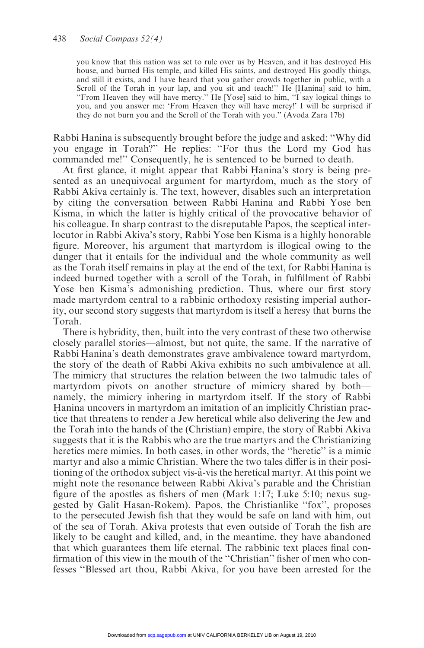you know that this nation was set to rule over us by Heaven, and it has destroyed His house, and burned His temple, and killed His saints, and destroyed His goodly things, and still it exists, and I have heard that you gather crowds together in public, with a Scroll of the Torah in your lap, and you sit and teach!'' He [Hanina] said to him, . ''From Heaven they will have mercy.'' He [Yose] said to him, ''I say logical things to you, and you answer me: 'From Heaven they will have mercy!' I will be surprised if they do not burn you and the Scroll of the Torah with you.'' (Avoda Zara 17b)

Rabbi Hanina is subsequently brought before the judge and asked: ''Why did you engage in Torah?'' He replies: ''For thus the Lord my God has commanded me!'' Consequently, he is sentenced to be burned to death.

At first glance, it might appear that Rabbi Hanina's story is being pre- . sented as an unequivocal argument for martyrdom, much as the story of Rabbi Akiva certainly is. The text, however, disables such an interpretation by citing the conversation between Rabbi Hanina and Rabbi Yose ben . Kisma, in which the latter is highly critical of the provocative behavior of his colleague. In sharp contrast to the disreputable Papos, the sceptical interlocutor in Rabbi Akiva's story, Rabbi Yose ben Kisma is a highly honorable figure. Moreover, his argument that martyrdom is illogical owing to the danger that it entails for the individual and the whole community as well as the Torah itself remains in play at the end of the text, for Rabbi Hanina is . indeed burned together with a scroll of the Torah, in fulfillment of Rabbi Yose ben Kisma's admonishing prediction. Thus, where our first story made martyrdom central to a rabbinic orthodoxy resisting imperial authority, our second story suggests that martyrdom is itself a heresy that burns the Torah.

There is hybridity, then, built into the very contrast of these two otherwise closely parallel stories—almost, but not quite, the same. If the narrative of Rabbi Hanina's death demonstrates grave ambivalence toward martyrdom, . the story of the death of Rabbi Akiva exhibits no such ambivalence at all. The mimicry that structures the relation between the two talmudic tales of martyrdom pivots on another structure of mimicry shared by both namely, the mimicry inhering in martyrdom itself. If the story of Rabbi Hanina uncovers in martyrdom an imitation of an implicitly Christian prac- . tice that threatens to render a Jew heretical while also delivering the Jew and the Torah into the hands of the (Christian) empire, the story of Rabbi Akiva suggests that it is the Rabbis who are the true martyrs and the Christianizing heretics mere mimics. In both cases, in other words, the ''heretic'' is a mimic martyr and also a mimic Christian. Where the two tales differ is in their positioning of the orthodox subject vis-a`-vis the heretical martyr. At this point we might note the resonance between Rabbi Akiva's parable and the Christian figure of the apostles as fishers of men (Mark 1:17; Luke 5:10; nexus suggested by Galit Hasan-Rokem). Papos, the Christianlike ''fox'', proposes to the persecuted Jewish fish that they would be safe on land with him, out of the sea of Torah. Akiva protests that even outside of Torah the fish are likely to be caught and killed, and, in the meantime, they have abandoned that which guarantees them life eternal. The rabbinic text places final confirmation of this view in the mouth of the ''Christian'' fisher of men who confesses ''Blessed art thou, Rabbi Akiva, for you have been arrested for the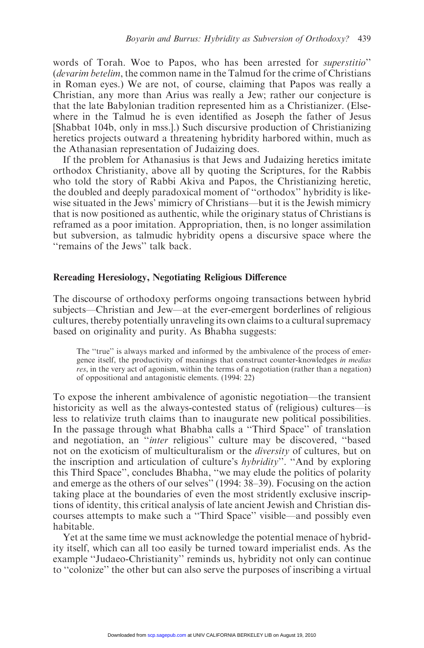words of Torah. Woe to Papos, who has been arrested for superstitio'' (devarim betelim, the common name in the Talmud for the crime of Christians in Roman eyes.) We are not, of course, claiming that Papos was really a Christian, any more than Arius was really a Jew; rather our conjecture is that the late Babylonian tradition represented him as a Christianizer. (Elsewhere in the Talmud he is even identified as Joseph the father of Jesus [Shabbat 104b, only in mss.].) Such discursive production of Christianizing heretics projects outward a threatening hybridity harbored within, much as the Athanasian representation of Judaizing does.

If the problem for Athanasius is that Jews and Judaizing heretics imitate orthodox Christianity, above all by quoting the Scriptures, for the Rabbis who told the story of Rabbi Akiva and Papos, the Christianizing heretic, the doubled and deeply paradoxical moment of ''orthodox'' hybridity is likewise situated in the Jews' mimicry of Christians—but it is the Jewish mimicry that is now positioned as authentic, while the originary status of Christians is reframed as a poor imitation. Appropriation, then, is no longer assimilation but subversion, as talmudic hybridity opens a discursive space where the ''remains of the Jews'' talk back.

#### Rereading Heresiology, Negotiating Religious Difference

The discourse of orthodoxy performs ongoing transactions between hybrid subjects—Christian and Jew—at the ever-emergent borderlines of religious cultures, thereby potentially unraveling its own claims to a cultural supremacy based on originality and purity. As Bhabha suggests:

The ''true'' is always marked and informed by the ambivalence of the process of emergence itself, the productivity of meanings that construct counter-knowledges in medias res, in the very act of agonism, within the terms of a negotiation (rather than a negation) of oppositional and antagonistic elements. (1994: 22)

To expose the inherent ambivalence of agonistic negotiation—the transient historicity as well as the always-contested status of (religious) cultures—is less to relativize truth claims than to inaugurate new political possibilities. In the passage through what Bhabha calls a ''Third Space'' of translation and negotiation, an ''inter religious'' culture may be discovered, ''based not on the exoticism of multiculturalism or the diversity of cultures, but on the inscription and articulation of culture's  $hybridity$ <sup>"</sup>. "And by exploring this Third Space'', concludes Bhabha, ''we may elude the politics of polarity and emerge as the others of our selves'' (1994: 38–39). Focusing on the action taking place at the boundaries of even the most stridently exclusive inscriptions of identity, this critical analysis of late ancient Jewish and Christian discourses attempts to make such a ''Third Space'' visible—and possibly even habitable.

Yet at the same time we must acknowledge the potential menace of hybridity itself, which can all too easily be turned toward imperialist ends. As the example ''Judaeo-Christianity'' reminds us, hybridity not only can continue to ''colonize'' the other but can also serve the purposes of inscribing a virtual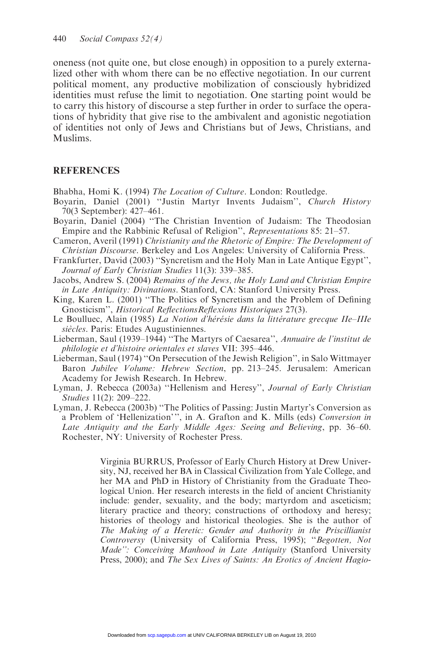oneness (not quite one, but close enough) in opposition to a purely externalized other with whom there can be no effective negotiation. In our current political moment, any productive mobilization of consciously hybridized identities must refuse the limit to negotiation. One starting point would be to carry this history of discourse a step further in order to surface the operations of hybridity that give rise to the ambivalent and agonistic negotiation of identities not only of Jews and Christians but of Jews, Christians, and Muslims.

#### **REFERENCES**

Bhabha, Homi K. (1994) The Location of Culture. London: Routledge.

- Boyarin, Daniel (2001) ''Justin Martyr Invents Judaism'', Church History 70(3 September): 427–461.
- Boyarin, Daniel (2004) ''The Christian Invention of Judaism: The Theodosian Empire and the Rabbinic Refusal of Religion'', Representations 85: 21–57.
- Cameron, Averil (1991) Christianity and the Rhetoric of Empire: The Development of Christian Discourse. Berkeley and Los Angeles: University of California Press.
- Frankfurter, David (2003) ''Syncretism and the Holy Man in Late Antique Egypt'', Journal of Early Christian Studies 11(3): 339–385.
- Jacobs, Andrew S. (2004) Remains of the Jews, the Holy Land and Christian Empire in Late Antiquity: Divinations. Stanford, CA: Stanford University Press.
- King, Karen L. (2001) ''The Politics of Syncretism and the Problem of Defining Gnosticism'', Historical ReflectionsReflexions Historiques 27(3).
- Le Boulluec, Alain (1985) La Notion d'hérésie dans la littérature grecque IIe–IIIe siècles. Paris: Etudes Augustiniennes.
- Lieberman, Saul (1939–1944) ''The Martyrs of Caesarea'', Annuaire de l'institut de philologie et d'histoire orientales et slaves VII: 395–446.
- Lieberman, Saul (1974) ''On Persecution of the Jewish Religion'', in Salo Wittmayer Baron Jubilee Volume: Hebrew Section, pp. 213–245. Jerusalem: American Academy for Jewish Research. In Hebrew.
- Lyman, J. Rebecca (2003a) ''Hellenism and Heresy'', Journal of Early Christian Studies 11(2): 209–222.
- Lyman, J. Rebecca (2003b) ''The Politics of Passing: Justin Martyr's Conversion as a Problem of 'Hellenization''', in A. Grafton and K. Mills (eds) Conversion in Late Antiquity and the Early Middle Ages: Seeing and Believing, pp. 36–60. Rochester, NY: University of Rochester Press.

Virginia BURRUS, Professor of Early Church History at Drew University, NJ, received her BA in Classical Civilization from Yale College, and her MA and PhD in History of Christianity from the Graduate Theological Union. Her research interests in the field of ancient Christianity include: gender, sexuality, and the body; martyrdom and asceticism; literary practice and theory; constructions of orthodoxy and heresy; histories of theology and historical theologies. She is the author of The Making of a Heretic: Gender and Authority in the Priscillianist Controversy (University of California Press, 1995); ''Begotten, Not Made'': Conceiving Manhood in Late Antiquity (Stanford University Press, 2000); and The Sex Lives of Saints: An Erotics of Ancient Hagio